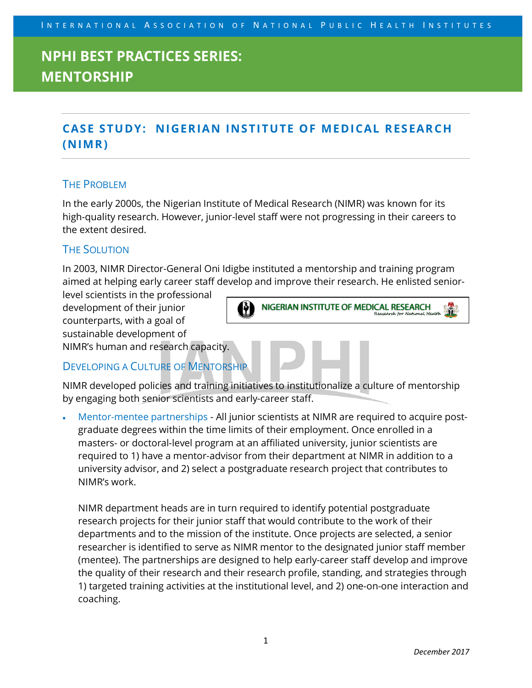## **NPHI BEST PRACTICES SERIES: MENTORSHIP**

### **CASE STUDY: NIGERIAN INSTITUTE OF MEDICAL RESEARCH (NIMR)**

### THE PROBLEM

In the early 2000s, the Nigerian Institute of Medical Research (NIMR) was known for its high-quality research. However, junior-level staff were not progressing in their careers to the extent desired.

### THE SOLUTION

In 2003, NIMR Director-General Oni Idigbe instituted a mentorship and training program aimed at helping early career staff develop and improve their research. He enlisted senior-

level scientists in the professional development of their junior counterparts, with a goal of sustainable development of NIMR's human and research capacity.



### DEVELOPING A CULTURE OF MENTORSHIP

NIMR developed policies and training initiatives to institutionalize a culture of mentorship by engaging both senior scientists and early-career staff.

• Mentor-mentee partnerships - All junior scientists at NIMR are required to acquire postgraduate degrees within the time limits of their employment. Once enrolled in a masters- or doctoral-level program at an affiliated university, junior scientists are required to 1) have a mentor-advisor from their department at NIMR in addition to a university advisor, and 2) select a postgraduate research project that contributes to NIMR's work.

NIMR department heads are in turn required to identify potential postgraduate research projects for their junior staff that would contribute to the work of their departments and to the mission of the institute. Once projects are selected, a senior researcher is identified to serve as NIMR mentor to the designated junior staff member (mentee). The partnerships are designed to help early-career staff develop and improve the quality of their research and their research profile, standing, and strategies through 1) targeted training activities at the institutional level, and 2) one-on-one interaction and coaching.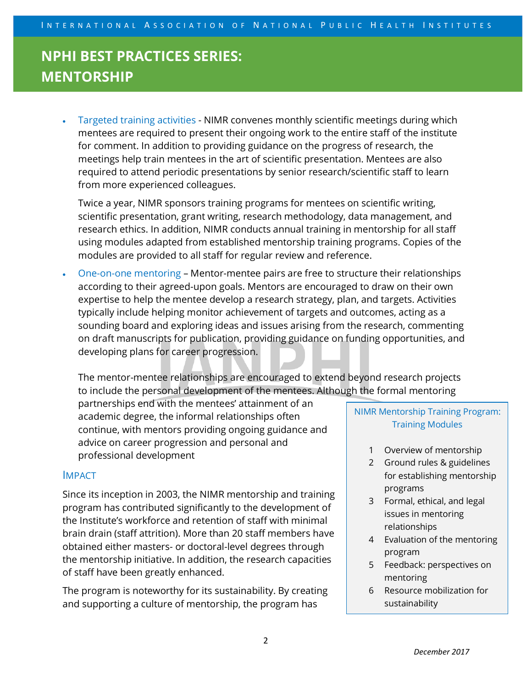# **NPHI BEST PRACTICES SERIES: MENTORSHIP**

• Targeted training activities - NIMR convenes monthly scientific meetings during which mentees are required to present their ongoing work to the entire staff of the institute for comment. In addition to providing guidance on the progress of research, the meetings help train mentees in the art of scientific presentation. Mentees are also required to attend periodic presentations by senior research/scientific staff to learn from more experienced colleagues.

Twice a year, NIMR sponsors training programs for mentees on scientific writing, scientific presentation, grant writing, research methodology, data management, and research ethics. In addition, NIMR conducts annual training in mentorship for all staff using modules adapted from established mentorship training programs. Copies of the modules are provided to all staff for regular review and reference.

• One-on-one mentoring – Mentor-mentee pairs are free to structure their relationships according to their agreed-upon goals. Mentors are encouraged to draw on their own expertise to help the mentee develop a research strategy, plan, and targets. Activities typically include helping monitor achievement of targets and outcomes, acting as a sounding board and exploring ideas and issues arising from the research, commenting on draft manuscripts for publication, providing guidance on funding opportunities, and developing plans for career progression.

The mentor-mentee relationships are encouraged to extend beyond research projects to include the personal development of the mentees. Although the formal mentoring

partnerships end with the mentees' attainment of an academic degree, the informal relationships often continue, with mentors providing ongoing guidance and advice on career progression and personal and professional development

### IMPACT

Since its inception in 2003, the NIMR mentorship and training program has contributed significantly to the development of the Institute's workforce and retention of staff with minimal brain drain (staff attrition). More than 20 staff members have obtained either masters- or doctoral-level degrees through the mentorship initiative. In addition, the research capacities of staff have been greatly enhanced.

The program is noteworthy for its sustainability. By creating and supporting a culture of mentorship, the program has

NIMR Mentorship Training Program: Training Modules

- 1 Overview of mentorship
- 2 Ground rules & guidelines for establishing mentorship programs
- 3 Formal, ethical, and legal issues in mentoring relationships
- 4 Evaluation of the mentoring program
- 5 Feedback: perspectives on mentoring
- 6 Resource mobilization for sustainability